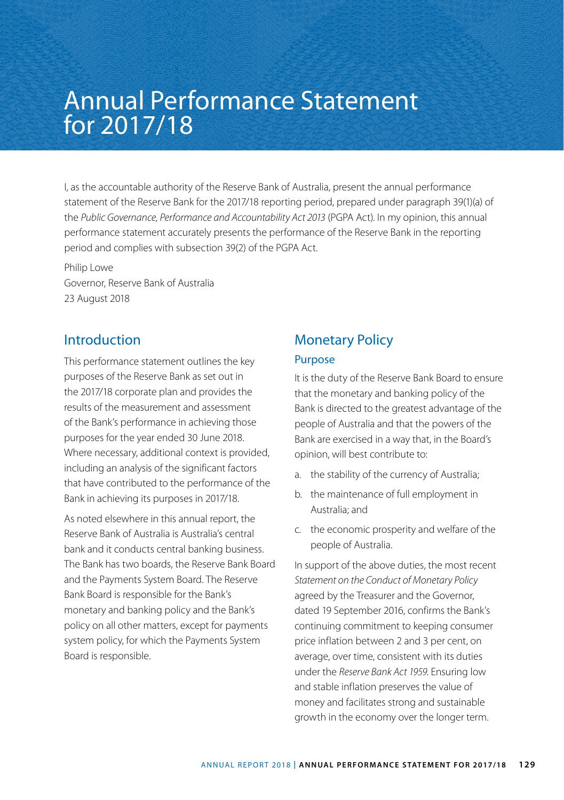# Annual Performance Statement for 2017/18

I, as the accountable authority of the Reserve Bank of Australia, present the annual performance statement of the Reserve Bank for the 2017/18 reporting period, prepared under paragraph 39(1)(a) of the *Public Governance, Performance and Accountability Act 2013* (PGPA Act). In my opinion, this annual performance statement accurately presents the performance of the Reserve Bank in the reporting period and complies with subsection 39(2) of the PGPA Act.

Philip Lowe Governor, Reserve Bank of Australia 23 August 2018

### Introduction

This performance statement outlines the key purposes of the Reserve Bank as set out in the 2017/18 corporate plan and provides the results of the measurement and assessment of the Bank's performance in achieving those purposes for the year ended 30 June 2018. Where necessary, additional context is provided, including an analysis of the significant factors that have contributed to the performance of the Bank in achieving its purposes in 2017/18.

As noted elsewhere in this annual report, the Reserve Bank of Australia is Australia's central bank and it conducts central banking business. The Bank has two boards, the Reserve Bank Board and the Payments System Board. The Reserve Bank Board is responsible for the Bank's monetary and banking policy and the Bank's policy on all other matters, except for payments system policy, for which the Payments System Board is responsible.

# Monetary Policy Purpose

It is the duty of the Reserve Bank Board to ensure that the monetary and banking policy of the Bank is directed to the greatest advantage of the people of Australia and that the powers of the Bank are exercised in a way that, in the Board's opinion, will best contribute to:

- a. the stability of the currency of Australia;
- b. the maintenance of full employment in Australia; and
- c. the economic prosperity and welfare of the people of Australia.

In support of the above duties, the most recent *Statement on the Conduct of Monetary Policy* agreed by the Treasurer and the Governor, dated 19 September 2016, confirms the Bank's continuing commitment to keeping consumer price inflation between 2 and 3 per cent, on average, over time, consistent with its duties under the *Reserve Bank Act 1959*. Ensuring low and stable inflation preserves the value of money and facilitates strong and sustainable growth in the economy over the longer term.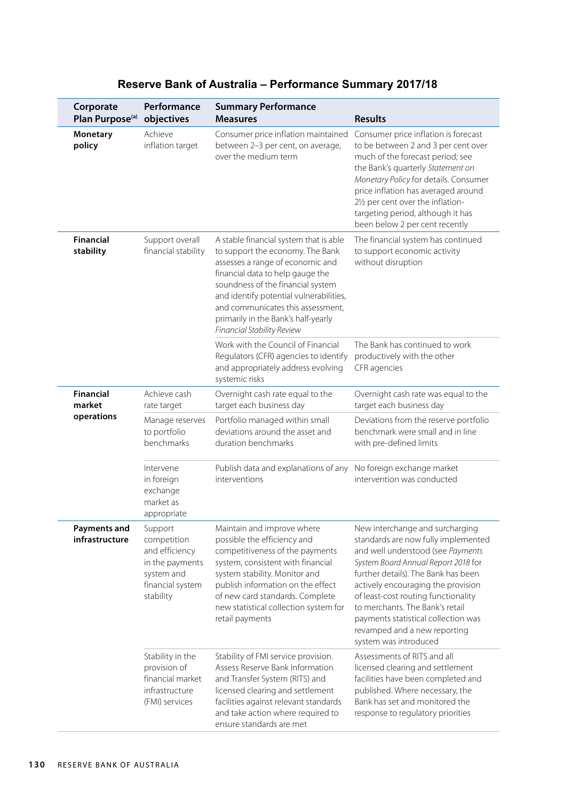| Corporate                      | Performance                                                                                                | <b>Summary Performance</b>                                                                                                                                                                                                                                                                                                                   |                                                                                                                                                                                                                                                                                                                                                                                                           |
|--------------------------------|------------------------------------------------------------------------------------------------------------|----------------------------------------------------------------------------------------------------------------------------------------------------------------------------------------------------------------------------------------------------------------------------------------------------------------------------------------------|-----------------------------------------------------------------------------------------------------------------------------------------------------------------------------------------------------------------------------------------------------------------------------------------------------------------------------------------------------------------------------------------------------------|
| Plan Purpose <sup>(a)</sup>    | objectives                                                                                                 | <b>Measures</b>                                                                                                                                                                                                                                                                                                                              | <b>Results</b>                                                                                                                                                                                                                                                                                                                                                                                            |
| Monetary<br>policy             | Achieve<br>inflation target                                                                                | Consumer price inflation maintained<br>between 2-3 per cent, on average,<br>over the medium term                                                                                                                                                                                                                                             | Consumer price inflation is forecast<br>to be between 2 and 3 per cent over<br>much of the forecast period; see<br>the Bank's quarterly Statement on<br>Monetary Policy for details. Consumer<br>price inflation has averaged around<br>21/2 per cent over the inflation-<br>targeting period, although it has<br>been below 2 per cent recently                                                          |
| <b>Financial</b><br>stability  | Support overall<br>financial stability                                                                     | A stable financial system that is able<br>to support the economy. The Bank<br>assesses a range of economic and<br>financial data to help gauge the<br>soundness of the financial system<br>and identify potential vulnerabilities,<br>and communicates this assessment,<br>primarily in the Bank's half-yearly<br>Financial Stability Review | The financial system has continued<br>to support economic activity<br>without disruption                                                                                                                                                                                                                                                                                                                  |
|                                |                                                                                                            | Work with the Council of Financial<br>Regulators (CFR) agencies to identify<br>and appropriately address evolving<br>systemic risks                                                                                                                                                                                                          | The Bank has continued to work<br>productively with the other<br>CFR agencies                                                                                                                                                                                                                                                                                                                             |
| <b>Financial</b><br>market     | Achieve cash<br>rate target                                                                                | Overnight cash rate equal to the<br>target each business day                                                                                                                                                                                                                                                                                 | Overnight cash rate was equal to the<br>target each business day                                                                                                                                                                                                                                                                                                                                          |
| operations                     | Manage reserves<br>to portfolio<br>benchmarks                                                              | Portfolio managed within small<br>deviations around the asset and<br>duration benchmarks                                                                                                                                                                                                                                                     | Deviations from the reserve portfolio<br>benchmark were small and in line<br>with pre-defined limits                                                                                                                                                                                                                                                                                                      |
|                                | Intervene<br>in foreign<br>exchange<br>market as<br>appropriate                                            | Publish data and explanations of any<br>interventions                                                                                                                                                                                                                                                                                        | No foreign exchange market<br>intervention was conducted                                                                                                                                                                                                                                                                                                                                                  |
| Payments and<br>infrastructure | Support<br>competition<br>and efficiency<br>in the payments<br>system and<br>financial system<br>stability | Maintain and improve where<br>possible the efficiency and<br>competitiveness of the payments<br>system, consistent with financial<br>system stability. Monitor and<br>publish information on the effect<br>of new card standards. Complete<br>new statistical collection system for<br>retail payments                                       | New interchange and surcharging<br>standards are now fully implemented<br>and well understood (see Payments<br>System Board Annual Report 2018 for<br>further details). The Bank has been<br>actively encouraging the provision<br>of least-cost routing functionality<br>to merchants. The Bank's retail<br>payments statistical collection was<br>revamped and a new reporting<br>system was introduced |
|                                | Stability in the<br>provision of<br>financial market<br>infrastructure<br>(FMI) services                   | Stability of FMI service provision.<br>Assess Reserve Bank Information<br>and Transfer System (RITS) and<br>licensed clearing and settlement<br>facilities against relevant standards<br>and take action where required to<br>ensure standards are met                                                                                       | Assessments of RITS and all<br>licensed clearing and settlement<br>facilities have been completed and<br>published. Where necessary, the<br>Bank has set and monitored the<br>response to regulatory priorities                                                                                                                                                                                           |

### **Reserve Bank of Australia – Performance Summary 2017/18**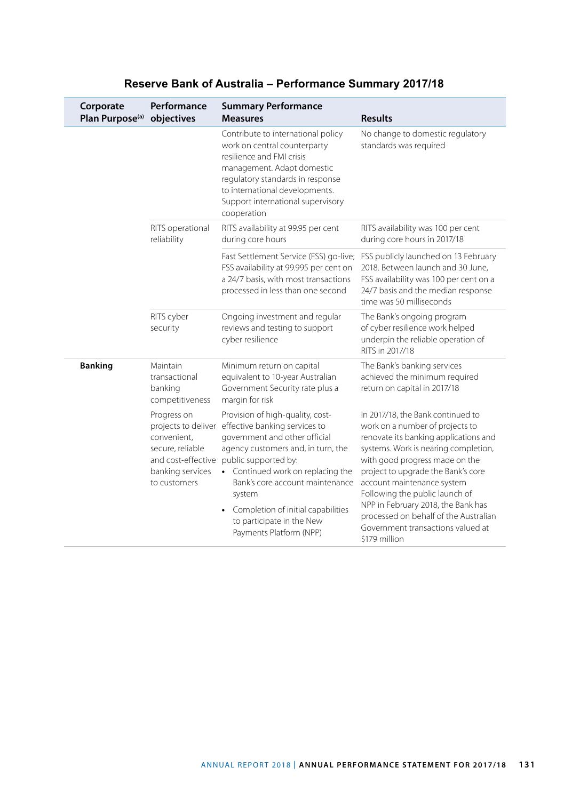| Corporate<br>Plan Purpose <sup>(a)</sup> | Performance<br>objectives                                                                                                       | <b>Summary Performance</b><br><b>Measures</b>                                                                                                                                                                                                                                                                                                    | <b>Results</b>                                                                                                                                                                                                                                                                                                                                                                                                                     |
|------------------------------------------|---------------------------------------------------------------------------------------------------------------------------------|--------------------------------------------------------------------------------------------------------------------------------------------------------------------------------------------------------------------------------------------------------------------------------------------------------------------------------------------------|------------------------------------------------------------------------------------------------------------------------------------------------------------------------------------------------------------------------------------------------------------------------------------------------------------------------------------------------------------------------------------------------------------------------------------|
|                                          |                                                                                                                                 | Contribute to international policy<br>work on central counterparty<br>resilience and FMI crisis<br>management. Adapt domestic<br>regulatory standards in response<br>to international developments.<br>Support international supervisory<br>cooperation                                                                                          | No change to domestic regulatory<br>standards was required                                                                                                                                                                                                                                                                                                                                                                         |
|                                          | RITS operational<br>reliability                                                                                                 | RITS availability at 99.95 per cent<br>during core hours                                                                                                                                                                                                                                                                                         | RITS availability was 100 per cent<br>during core hours in 2017/18                                                                                                                                                                                                                                                                                                                                                                 |
|                                          |                                                                                                                                 | Fast Settlement Service (FSS) go-live;<br>FSS availability at 99.995 per cent on<br>a 24/7 basis, with most transactions<br>processed in less than one second                                                                                                                                                                                    | FSS publicly launched on 13 February<br>2018. Between launch and 30 June,<br>FSS availability was 100 per cent on a<br>24/7 basis and the median response<br>time was 50 milliseconds                                                                                                                                                                                                                                              |
|                                          | RITS cyber<br>security                                                                                                          | Ongoing investment and regular<br>reviews and testing to support<br>cyber resilience                                                                                                                                                                                                                                                             | The Bank's ongoing program<br>of cyber resilience work helped<br>underpin the reliable operation of<br>RITS in 2017/18                                                                                                                                                                                                                                                                                                             |
| <b>Banking</b>                           | Maintain<br>transactional<br>banking<br>competitiveness                                                                         | Minimum return on capital<br>equivalent to 10-year Australian<br>Government Security rate plus a<br>margin for risk                                                                                                                                                                                                                              | The Bank's banking services<br>achieved the minimum required<br>return on capital in 2017/18                                                                                                                                                                                                                                                                                                                                       |
|                                          | Progress on<br>projects to deliver<br>convenient,<br>secure, reliable<br>and cost-effective<br>banking services<br>to customers | Provision of high-quality, cost-<br>effective banking services to<br>government and other official<br>agency customers and, in turn, the<br>public supported by:<br>• Continued work on replacing the<br>Bank's core account maintenance<br>system<br>Completion of initial capabilities<br>to participate in the New<br>Payments Platform (NPP) | In 2017/18, the Bank continued to<br>work on a number of projects to<br>renovate its banking applications and<br>systems. Work is nearing completion,<br>with good progress made on the<br>project to upgrade the Bank's core<br>account maintenance system<br>Following the public launch of<br>NPP in February 2018, the Bank has<br>processed on behalf of the Australian<br>Government transactions valued at<br>\$179 million |

### **Reserve Bank of Australia – Performance Summary 2017/18**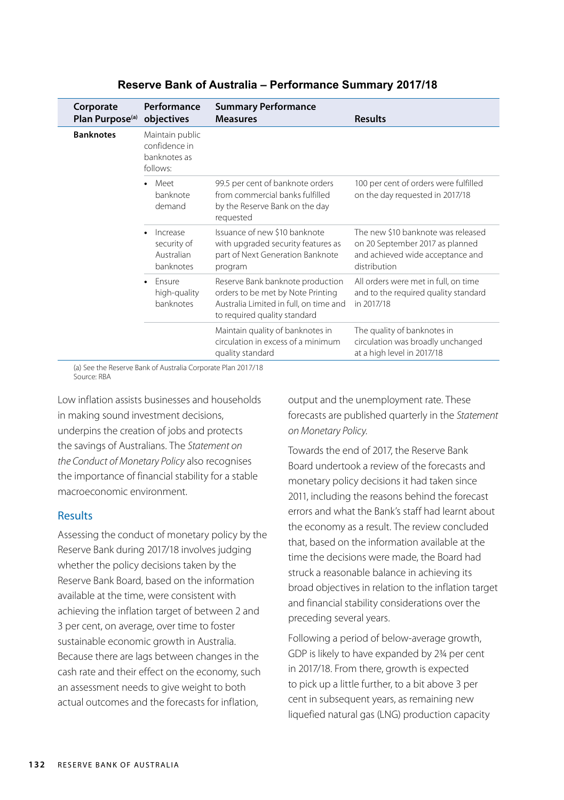| Corporate<br>Plan Purpose <sup>(a)</sup> | Performance<br>objectives                                    | <b>Summary Performance</b><br><b>Measures</b>                                                                                                   | <b>Results</b>                                                                                                            |
|------------------------------------------|--------------------------------------------------------------|-------------------------------------------------------------------------------------------------------------------------------------------------|---------------------------------------------------------------------------------------------------------------------------|
| <b>Banknotes</b>                         | Maintain public<br>confidence in<br>banknotes as<br>follows: |                                                                                                                                                 |                                                                                                                           |
|                                          | Meet<br>$\bullet$<br>banknote<br>demand                      | 99.5 per cent of banknote orders<br>from commercial banks fulfilled<br>by the Reserve Bank on the day<br>requested                              | 100 per cent of orders were fulfilled<br>on the day requested in 2017/18                                                  |
|                                          | Increase<br>security of<br>Australian<br>banknotes           | Issuance of new \$10 banknote<br>with upgraded security features as<br>part of Next Generation Banknote<br>program                              | The new \$10 banknote was released<br>on 20 September 2017 as planned<br>and achieved wide acceptance and<br>distribution |
|                                          | Ensure<br>$\bullet$<br>high-quality<br>banknotes             | Reserve Bank banknote production<br>orders to be met by Note Printing<br>Australia Limited in full, on time and<br>to required quality standard | All orders were met in full, on time<br>and to the required quality standard<br>in 2017/18                                |
|                                          |                                                              | Maintain quality of banknotes in<br>circulation in excess of a minimum<br>quality standard                                                      | The quality of banknotes in<br>circulation was broadly unchanged<br>at a high level in 2017/18                            |

#### **Reserve Bank of Australia – Performance Summary 2017/18**

(a) See the Reserve Bank of Australia Corporate Plan 2017/18 Source: RBA

Low inflation assists businesses and households in making sound investment decisions, underpins the creation of jobs and protects the savings of Australians. The *Statement on the Conduct of Monetary Policy* also recognises the importance of financial stability for a stable macroeconomic environment.

#### Results

Assessing the conduct of monetary policy by the Reserve Bank during 2017/18 involves judging whether the policy decisions taken by the Reserve Bank Board, based on the information available at the time, were consistent with achieving the inflation target of between 2 and 3 per cent, on average, over time to foster sustainable economic growth in Australia. Because there are lags between changes in the cash rate and their effect on the economy, such an assessment needs to give weight to both actual outcomes and the forecasts for inflation,

output and the unemployment rate. These forecasts are published quarterly in the *Statement on Monetary Policy*.

Towards the end of 2017, the Reserve Bank Board undertook a review of the forecasts and monetary policy decisions it had taken since 2011, including the reasons behind the forecast errors and what the Bank's staff had learnt about the economy as a result. The review concluded that, based on the information available at the time the decisions were made, the Board had struck a reasonable balance in achieving its broad objectives in relation to the inflation target and financial stability considerations over the preceding several years.

Following a period of below-average growth, GDP is likely to have expanded by 2¾ per cent in 2017/18. From there, growth is expected to pick up a little further, to a bit above 3 per cent in subsequent years, as remaining new liquefied natural gas (LNG) production capacity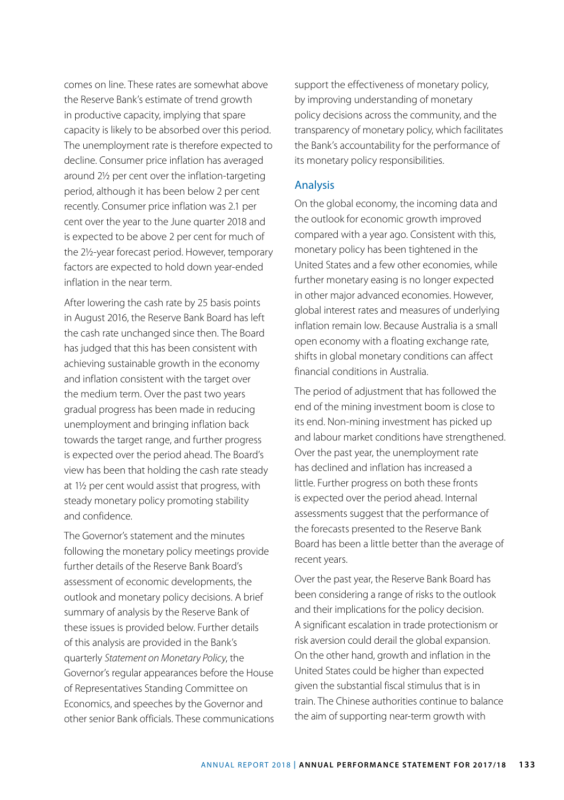comes on line. These rates are somewhat above the Reserve Bank's estimate of trend growth in productive capacity, implying that spare capacity is likely to be absorbed over this period. The unemployment rate is therefore expected to decline. Consumer price inflation has averaged around 2½ per cent over the inflation-targeting period, although it has been below 2 per cent recently. Consumer price inflation was 2.1 per cent over the year to the June quarter 2018 and is expected to be above 2 per cent for much of the 2½-year forecast period. However, temporary factors are expected to hold down year-ended inflation in the near term.

After lowering the cash rate by 25 basis points in August 2016, the Reserve Bank Board has left the cash rate unchanged since then. The Board has judged that this has been consistent with achieving sustainable growth in the economy and inflation consistent with the target over the medium term. Over the past two years gradual progress has been made in reducing unemployment and bringing inflation back towards the target range, and further progress is expected over the period ahead. The Board's view has been that holding the cash rate steady at 1½ per cent would assist that progress, with steady monetary policy promoting stability and confidence.

The Governor's statement and the minutes following the monetary policy meetings provide further details of the Reserve Bank Board's assessment of economic developments, the outlook and monetary policy decisions. A brief summary of analysis by the Reserve Bank of these issues is provided below. Further details of this analysis are provided in the Bank's quarterly *Statement on Monetary Policy*, the Governor's regular appearances before the House of Representatives Standing Committee on Economics, and speeches by the Governor and other senior Bank officials. These communications support the effectiveness of monetary policy, by improving understanding of monetary policy decisions across the community, and the transparency of monetary policy, which facilitates the Bank's accountability for the performance of its monetary policy responsibilities.

#### Analysis

On the global economy, the incoming data and the outlook for economic growth improved compared with a year ago. Consistent with this, monetary policy has been tightened in the United States and a few other economies, while further monetary easing is no longer expected in other major advanced economies. However, global interest rates and measures of underlying inflation remain low. Because Australia is a small open economy with a floating exchange rate, shifts in global monetary conditions can affect financial conditions in Australia.

The period of adjustment that has followed the end of the mining investment boom is close to its end. Non-mining investment has picked up and labour market conditions have strengthened. Over the past year, the unemployment rate has declined and inflation has increased a little. Further progress on both these fronts is expected over the period ahead. Internal assessments suggest that the performance of the forecasts presented to the Reserve Bank Board has been a little better than the average of recent years.

Over the past year, the Reserve Bank Board has been considering a range of risks to the outlook and their implications for the policy decision. A significant escalation in trade protectionism or risk aversion could derail the global expansion. On the other hand, growth and inflation in the United States could be higher than expected given the substantial fiscal stimulus that is in train. The Chinese authorities continue to balance the aim of supporting near-term growth with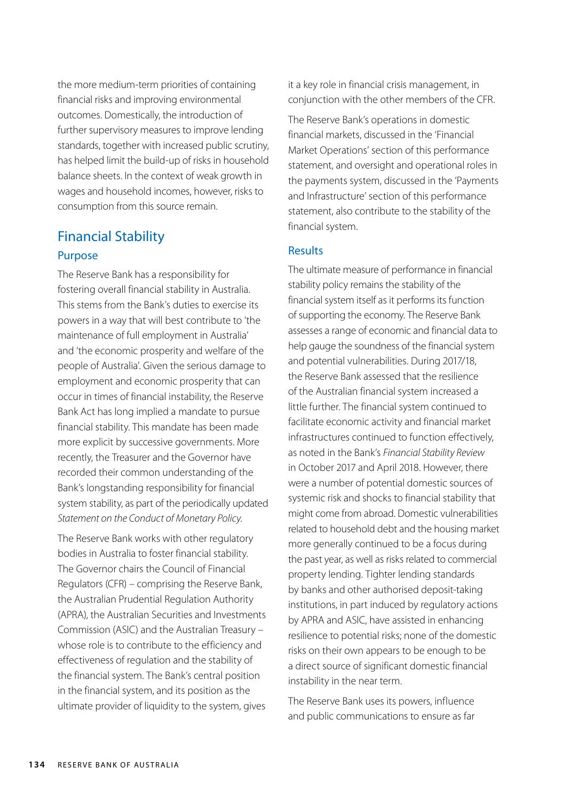the more medium-term priorities of containing financial risks and improving environmental outcomes. Domestically, the introduction of further supervisory measures to improve lending standards, together with increased public scrutiny, has helped limit the build-up of risks in household balance sheets. In the context of weak growth in wages and household incomes, however, risks to consumption from this source remain.

### Financial Stability Purpose

The Reserve Bank has a responsibility for fostering overall financial stability in Australia. This stems from the Bank's duties to exercise its powers in a way that will best contribute to 'the maintenance of full employment in Australia' and 'the economic prosperity and welfare of the people of Australia'. Given the serious damage to employment and economic prosperity that can occur in times of financial instability, the Reserve Bank Act has long implied a mandate to pursue financial stability. This mandate has been made more explicit by successive governments. More recently, the Treasurer and the Governor have recorded their common understanding of the Bank's longstanding responsibility for financial system stability, as part of the periodically updated *Statement on the Conduct of Monetary Policy*.

The Reserve Bank works with other regulatory bodies in Australia to foster financial stability. The Governor chairs the Council of Financial Regulators (CFR) – comprising the Reserve Bank, the Australian Prudential Regulation Authority (APRA), the Australian Securities and Investments Commission (ASIC) and the Australian Treasury – whose role is to contribute to the efficiency and effectiveness of regulation and the stability of the financial system. The Bank's central position in the financial system, and its position as the ultimate provider of liquidity to the system, gives it a key role in financial crisis management, in conjunction with the other members of the CFR.

The Reserve Bank's operations in domestic financial markets, discussed in the 'Financial Market Operations' section of this performance statement, and oversight and operational roles in the payments system, discussed in the 'Payments and Infrastructure' section of this performance statement, also contribute to the stability of the financial system.

#### **Results**

The ultimate measure of performance in financial stability policy remains the stability of the financial system itself as it performs its function of supporting the economy. The Reserve Bank assesses a range of economic and financial data to help gauge the soundness of the financial system and potential vulnerabilities. During 2017/18, the Reserve Bank assessed that the resilience of the Australian financial system increased a little further. The financial system continued to facilitate economic activity and financial market infrastructures continued to function effectively, as noted in the Bank's *Financial Stability Review* in October 2017 and April 2018. However, there were a number of potential domestic sources of systemic risk and shocks to financial stability that might come from abroad. Domestic vulnerabilities related to household debt and the housing market more generally continued to be a focus during the past year, as well as risks related to commercial property lending. Tighter lending standards by banks and other authorised deposit-taking institutions, in part induced by regulatory actions by APRA and ASIC, have assisted in enhancing resilience to potential risks; none of the domestic risks on their own appears to be enough to be a direct source of significant domestic financial instability in the near term.

The Reserve Bank uses its powers, influence and public communications to ensure as far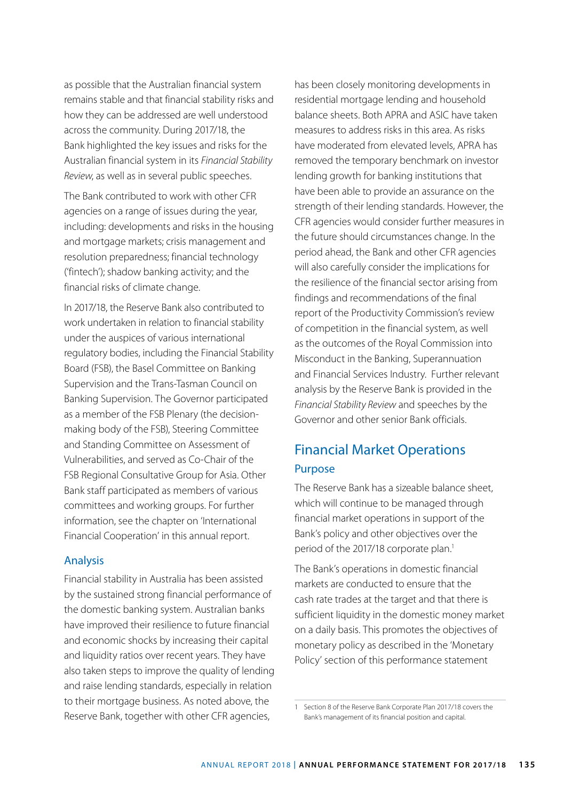as possible that the Australian financial system remains stable and that financial stability risks and how they can be addressed are well understood across the community. During 2017/18, the Bank highlighted the key issues and risks for the Australian financial system in its *Financial Stability Review*, as well as in several public speeches.

The Bank contributed to work with other CFR agencies on a range of issues during the year, including: developments and risks in the housing and mortgage markets; crisis management and resolution preparedness; financial technology ('fintech'); shadow banking activity; and the financial risks of climate change.

In 2017/18, the Reserve Bank also contributed to work undertaken in relation to financial stability under the auspices of various international regulatory bodies, including the Financial Stability Board (FSB), the Basel Committee on Banking Supervision and the Trans-Tasman Council on Banking Supervision. The Governor participated as a member of the FSB Plenary (the decisionmaking body of the FSB), Steering Committee and Standing Committee on Assessment of Vulnerabilities, and served as Co-Chair of the FSB Regional Consultative Group for Asia. Other Bank staff participated as members of various committees and working groups. For further information, see the chapter on 'International Financial Cooperation' in this annual report.

#### Analysis

Financial stability in Australia has been assisted by the sustained strong financial performance of the domestic banking system. Australian banks have improved their resilience to future financial and economic shocks by increasing their capital and liquidity ratios over recent years. They have also taken steps to improve the quality of lending and raise lending standards, especially in relation to their mortgage business. As noted above, the Reserve Bank, together with other CFR agencies,

has been closely monitoring developments in residential mortgage lending and household balance sheets. Both APRA and ASIC have taken measures to address risks in this area. As risks have moderated from elevated levels, APRA has removed the temporary benchmark on investor lending growth for banking institutions that have been able to provide an assurance on the strength of their lending standards. However, the CFR agencies would consider further measures in the future should circumstances change. In the period ahead, the Bank and other CFR agencies will also carefully consider the implications for the resilience of the financial sector arising from findings and recommendations of the final report of the Productivity Commission's review of competition in the financial system, as well as the outcomes of the Royal Commission into Misconduct in the Banking, Superannuation and Financial Services Industry. Further relevant analysis by the Reserve Bank is provided in the *Financial Stability Review* and speeches by the Governor and other senior Bank officials.

### Financial Market Operations Purpose

The Reserve Bank has a sizeable balance sheet, which will continue to be managed through financial market operations in support of the Bank's policy and other objectives over the period of the 2017/18 corporate plan.<sup>1</sup>

The Bank's operations in domestic financial markets are conducted to ensure that the cash rate trades at the target and that there is sufficient liquidity in the domestic money market on a daily basis. This promotes the objectives of monetary policy as described in the 'Monetary Policy' section of this performance statement

<sup>1</sup> Section 8 of the Reserve Bank Corporate Plan 2017/18 covers the Bank's management of its financial position and capital.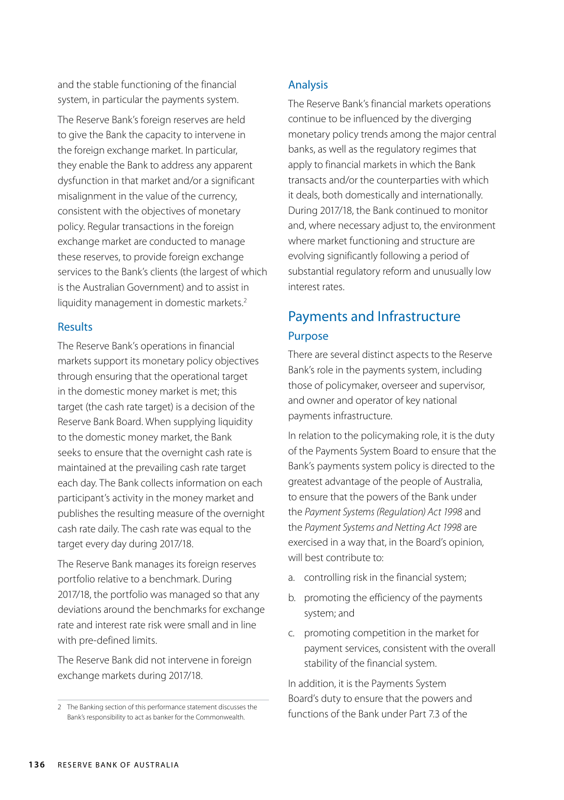and the stable functioning of the financial system, in particular the payments system.

The Reserve Bank's foreign reserves are held to give the Bank the capacity to intervene in the foreign exchange market. In particular, they enable the Bank to address any apparent dysfunction in that market and/or a significant misalignment in the value of the currency, consistent with the objectives of monetary policy. Regular transactions in the foreign exchange market are conducted to manage these reserves, to provide foreign exchange services to the Bank's clients (the largest of which is the Australian Government) and to assist in liquidity management in domestic markets.<sup>2</sup>

#### Results

The Reserve Bank's operations in financial markets support its monetary policy objectives through ensuring that the operational target in the domestic money market is met; this target (the cash rate target) is a decision of the Reserve Bank Board. When supplying liquidity to the domestic money market, the Bank seeks to ensure that the overnight cash rate is maintained at the prevailing cash rate target each day. The Bank collects information on each participant's activity in the money market and publishes the resulting measure of the overnight cash rate daily. The cash rate was equal to the target every day during 2017/18.

The Reserve Bank manages its foreign reserves portfolio relative to a benchmark. During 2017/18, the portfolio was managed so that any deviations around the benchmarks for exchange rate and interest rate risk were small and in line with pre-defined limits.

The Reserve Bank did not intervene in foreign exchange markets during 2017/18.

#### Analysis

The Reserve Bank's financial markets operations continue to be influenced by the diverging monetary policy trends among the major central banks, as well as the regulatory regimes that apply to financial markets in which the Bank transacts and/or the counterparties with which it deals, both domestically and internationally. During 2017/18, the Bank continued to monitor and, where necessary adjust to, the environment where market functioning and structure are evolving significantly following a period of substantial regulatory reform and unusually low interest rates.

# Payments and Infrastructure Purpose

There are several distinct aspects to the Reserve Bank's role in the payments system, including those of policymaker, overseer and supervisor, and owner and operator of key national payments infrastructure.

In relation to the policymaking role, it is the duty of the Payments System Board to ensure that the Bank's payments system policy is directed to the greatest advantage of the people of Australia, to ensure that the powers of the Bank under the *Payment Systems (Regulation) Act 1998* and the *Payment Systems and Netting Act 1998* are exercised in a way that, in the Board's opinion, will best contribute to:

- a. controlling risk in the financial system;
- b. promoting the efficiency of the payments system; and
- c. promoting competition in the market for payment services, consistent with the overall stability of the financial system.

In addition, it is the Payments System Board's duty to ensure that the powers and functions of the Bank under Part 7.3 of the

<sup>2</sup> The Banking section of this performance statement discusses the Bank's responsibility to act as banker for the Commonwealth.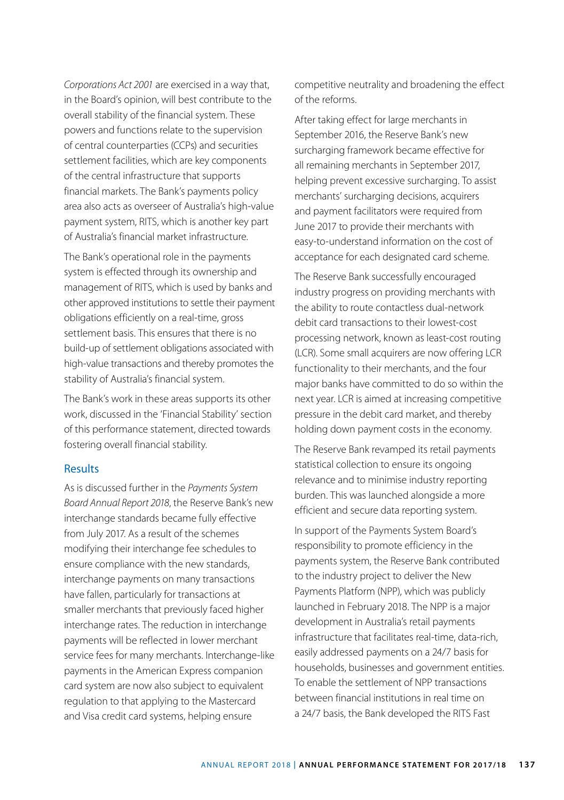*Corporations Act 2001* are exercised in a way that, in the Board's opinion, will best contribute to the overall stability of the financial system. These powers and functions relate to the supervision of central counterparties (CCPs) and securities settlement facilities, which are key components of the central infrastructure that supports financial markets. The Bank's payments policy area also acts as overseer of Australia's high-value payment system, RITS, which is another key part of Australia's financial market infrastructure.

The Bank's operational role in the payments system is effected through its ownership and management of RITS, which is used by banks and other approved institutions to settle their payment obligations efficiently on a real-time, gross settlement basis. This ensures that there is no build-up of settlement obligations associated with high-value transactions and thereby promotes the stability of Australia's financial system.

The Bank's work in these areas supports its other work, discussed in the 'Financial Stability' section of this performance statement, directed towards fostering overall financial stability.

#### Results

As is discussed further in the *Payments System Board Annual Report 2018*, the Reserve Bank's new interchange standards became fully effective from July 2017. As a result of the schemes modifying their interchange fee schedules to ensure compliance with the new standards, interchange payments on many transactions have fallen, particularly for transactions at smaller merchants that previously faced higher interchange rates. The reduction in interchange payments will be reflected in lower merchant service fees for many merchants. Interchange-like payments in the American Express companion card system are now also subject to equivalent regulation to that applying to the Mastercard and Visa credit card systems, helping ensure

competitive neutrality and broadening the effect of the reforms.

After taking effect for large merchants in September 2016, the Reserve Bank's new surcharging framework became effective for all remaining merchants in September 2017, helping prevent excessive surcharging. To assist merchants' surcharging decisions, acquirers and payment facilitators were required from June 2017 to provide their merchants with easy-to-understand information on the cost of acceptance for each designated card scheme.

The Reserve Bank successfully encouraged industry progress on providing merchants with the ability to route contactless dual-network debit card transactions to their lowest-cost processing network, known as least-cost routing (LCR). Some small acquirers are now offering LCR functionality to their merchants, and the four major banks have committed to do so within the next year. LCR is aimed at increasing competitive pressure in the debit card market, and thereby holding down payment costs in the economy.

The Reserve Bank revamped its retail payments statistical collection to ensure its ongoing relevance and to minimise industry reporting burden. This was launched alongside a more efficient and secure data reporting system.

In support of the Payments System Board's responsibility to promote efficiency in the payments system, the Reserve Bank contributed to the industry project to deliver the New Payments Platform (NPP), which was publicly launched in February 2018. The NPP is a major development in Australia's retail payments infrastructure that facilitates real-time, data-rich, easily addressed payments on a 24/7 basis for households, businesses and government entities. To enable the settlement of NPP transactions between financial institutions in real time on a 24/7 basis, the Bank developed the RITS Fast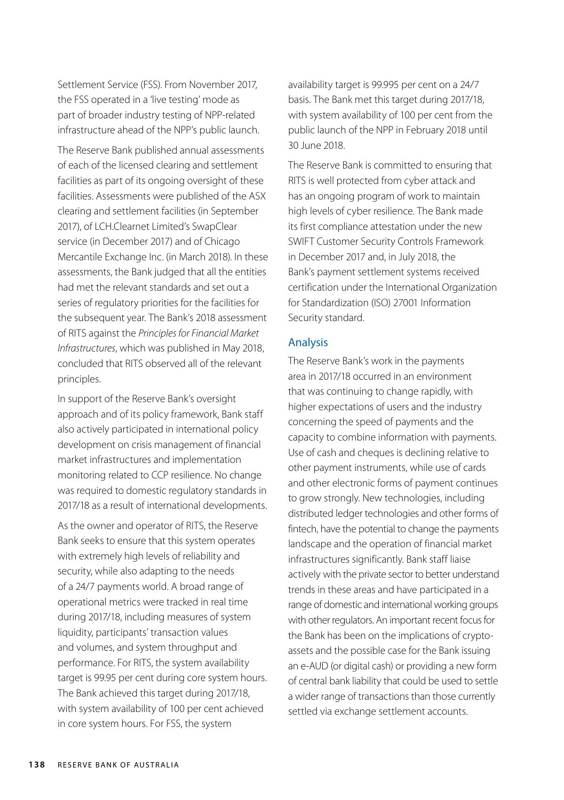Settlement Service (FSS). From November 2017, the FSS operated in a 'live testing' mode as part of broader industry testing of NPP-related infrastructure ahead of the NPP's public launch.

The Reserve Bank published annual assessments of each of the licensed clearing and settlement facilities as part of its ongoing oversight of these facilities. Assessments were published of the ASX clearing and settlement facilities (in September 2017), of LCH.Clearnet Limited's SwapClear service (in December 2017) and of Chicago Mercantile Exchange Inc. (in March 2018). In these assessments, the Bank judged that all the entities had met the relevant standards and set out a series of regulatory priorities for the facilities for the subsequent year. The Bank's 2018 assessment of RITS against the *Principles for Financial Market Infrastructures*, which was published in May 2018, concluded that RITS observed all of the relevant principles.

In support of the Reserve Bank's oversight approach and of its policy framework, Bank staff also actively participated in international policy development on crisis management of financial market infrastructures and implementation monitoring related to CCP resilience. No change was required to domestic regulatory standards in 2017/18 as a result of international developments.

As the owner and operator of RITS, the Reserve Bank seeks to ensure that this system operates with extremely high levels of reliability and security, while also adapting to the needs of a 24/7 payments world. A broad range of operational metrics were tracked in real time during 2017/18, including measures of system liquidity, participants' transaction values and volumes, and system throughput and performance. For RITS, the system availability target is 99.95 per cent during core system hours. The Bank achieved this target during 2017/18, with system availability of 100 per cent achieved in core system hours. For FSS, the system

availability target is 99.995 per cent on a 24/7 basis. The Bank met this target during 2017/18, with system availability of 100 per cent from the public launch of the NPP in February 2018 until 30 June 2018.

The Reserve Bank is committed to ensuring that RITS is well protected from cyber attack and has an ongoing program of work to maintain high levels of cyber resilience. The Bank made its first compliance attestation under the new SWIFT Customer Security Controls Framework in December 2017 and, in July 2018, the Bank's payment settlement systems received certification under the International Organization for Standardization (ISO) 27001 Information Security standard.

#### Analysis

The Reserve Bank's work in the payments area in 2017/18 occurred in an environment that was continuing to change rapidly, with higher expectations of users and the industry concerning the speed of payments and the capacity to combine information with payments. Use of cash and cheques is declining relative to other payment instruments, while use of cards and other electronic forms of payment continues to grow strongly. New technologies, including distributed ledger technologies and other forms of fintech, have the potential to change the payments landscape and the operation of financial market infrastructures significantly. Bank staff liaise actively with the private sector to better understand trends in these areas and have participated in a range of domestic and international working groups with other regulators. An important recent focus for the Bank has been on the implications of cryptoassets and the possible case for the Bank issuing an e-AUD (or digital cash) or providing a new form of central bank liability that could be used to settle a wider range of transactions than those currently settled via exchange settlement accounts.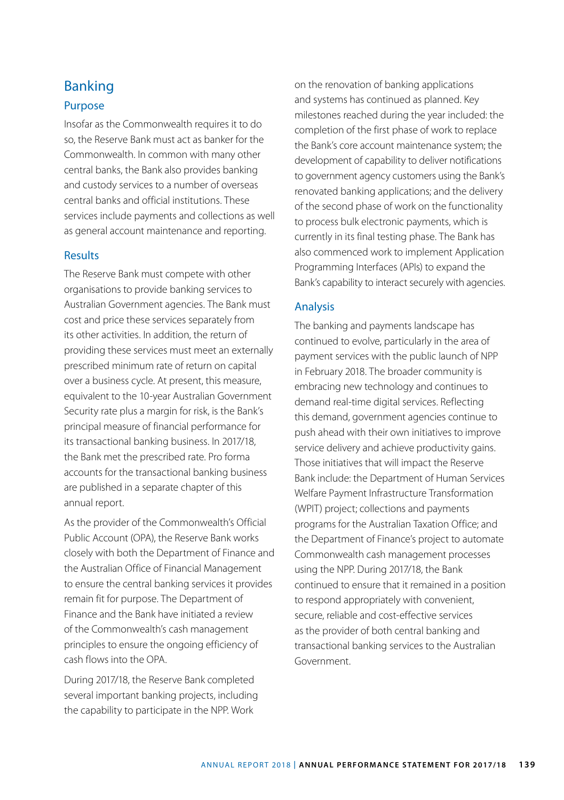## Banking Purpose

Insofar as the Commonwealth requires it to do so, the Reserve Bank must act as banker for the Commonwealth. In common with many other central banks, the Bank also provides banking and custody services to a number of overseas central banks and official institutions. These services include payments and collections as well as general account maintenance and reporting.

#### **Results**

The Reserve Bank must compete with other organisations to provide banking services to Australian Government agencies. The Bank must cost and price these services separately from its other activities. In addition, the return of providing these services must meet an externally prescribed minimum rate of return on capital over a business cycle. At present, this measure, equivalent to the 10-year Australian Government Security rate plus a margin for risk, is the Bank's principal measure of financial performance for its transactional banking business. In 2017/18, the Bank met the prescribed rate. Pro forma accounts for the transactional banking business are published in a separate chapter of this annual report.

As the provider of the Commonwealth's Official Public Account (OPA), the Reserve Bank works closely with both the Department of Finance and the Australian Office of Financial Management to ensure the central banking services it provides remain fit for purpose. The Department of Finance and the Bank have initiated a review of the Commonwealth's cash management principles to ensure the ongoing efficiency of cash flows into the OPA.

During 2017/18, the Reserve Bank completed several important banking projects, including the capability to participate in the NPP. Work

on the renovation of banking applications and systems has continued as planned. Key milestones reached during the year included: the completion of the first phase of work to replace the Bank's core account maintenance system; the development of capability to deliver notifications to government agency customers using the Bank's renovated banking applications; and the delivery of the second phase of work on the functionality to process bulk electronic payments, which is currently in its final testing phase. The Bank has also commenced work to implement Application Programming Interfaces (APIs) to expand the Bank's capability to interact securely with agencies.

#### Analysis

The banking and payments landscape has continued to evolve, particularly in the area of payment services with the public launch of NPP in February 2018. The broader community is embracing new technology and continues to demand real-time digital services. Reflecting this demand, government agencies continue to push ahead with their own initiatives to improve service delivery and achieve productivity gains. Those initiatives that will impact the Reserve Bank include: the Department of Human Services Welfare Payment Infrastructure Transformation (WPIT) project; collections and payments programs for the Australian Taxation Office; and the Department of Finance's project to automate Commonwealth cash management processes using the NPP. During 2017/18, the Bank continued to ensure that it remained in a position to respond appropriately with convenient, secure, reliable and cost-effective services as the provider of both central banking and transactional banking services to the Australian Government.